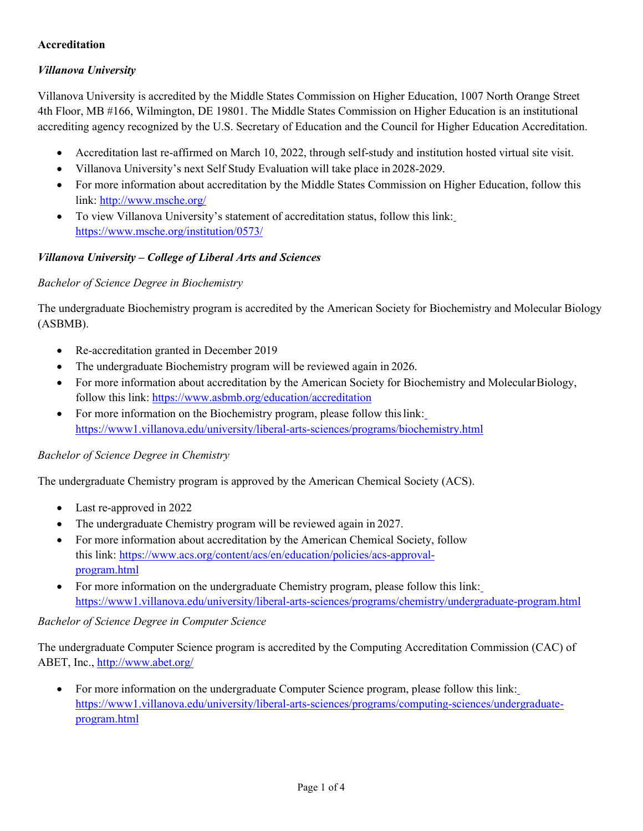### **Accreditation**

# *Villanova University*

Villanova University is accredited by the Middle States Commission on Higher Education, 1007 North Orange Street 4th Floor, MB #166, Wilmington, DE 19801. The Middle States Commission on Higher Education is an institutional accrediting agency recognized by the U.S. Secretary of Education and the Council for Higher Education Accreditation.

- Accreditation last re-affirmed on March 10, 2022, through self-study and institution hosted virtual site visit.
- Villanova University's next Self Study Evaluation will take place in 2028-2029.
- For more information about accreditation by the Middle States Commission on Higher Education, follow this link: <http://www.msche.org/>
- To view Villanova University's statement of accreditation status, follow this link: <https://www.msche.org/institution/0573/>

#### *Villanova University – College of Liberal Arts and Sciences*

#### *Bachelor of Science Degree in Biochemistry*

The undergraduate Biochemistry program is accredited by the American Society for Biochemistry and Molecular Biology (ASBMB).

- Re-accreditation granted in December 2019
- The undergraduate Biochemistry program will be reviewed again in 2026.
- For more information about accreditation by the American Society for Biochemistry and MolecularBiology, follow this link: <https://www.asbmb.org/education/accreditation>
- For more information on the Biochemistry program, please follow this link: <https://www1.villanova.edu/university/liberal-arts-sciences/programs/biochemistry.html>

#### *Bachelor of Science Degree in Chemistry*

The undergraduate Chemistry program is approved by the American Chemical Society (ACS).

- Last re-approved in 2022
- The undergraduate Chemistry program will be reviewed again in 2027.
- For more information about accreditation by the American Chemical Society, follow this link: [https://www.acs.org/content/acs/en/education/policies/acs-approval](https://www.acs.org/content/acs/en/education/policies/acs-approval-program.html)[program.html](https://www.acs.org/content/acs/en/education/policies/acs-approval-program.html)
- For more information on the undergraduate Chemistry program, please follow this link: <https://www1.villanova.edu/university/liberal-arts-sciences/programs/chemistry/undergraduate-program.html>

#### *Bachelor of Science Degree in Computer Science*

The undergraduate Computer Science program is accredited by the Computing Accreditation Commission (CAC) of ABET, Inc.,<http://www.abet.org/>

• For more information on the undergraduate Computer Science program, please follow this link: [https://www1.villanova.edu/university/liberal-arts-sciences/programs/computing-sciences/undergraduate](https://www1.villanova.edu/university/liberal-arts-sciences/programs/computing-sciences/undergraduate-program.html)[program.html](https://www1.villanova.edu/university/liberal-arts-sciences/programs/computing-sciences/undergraduate-program.html)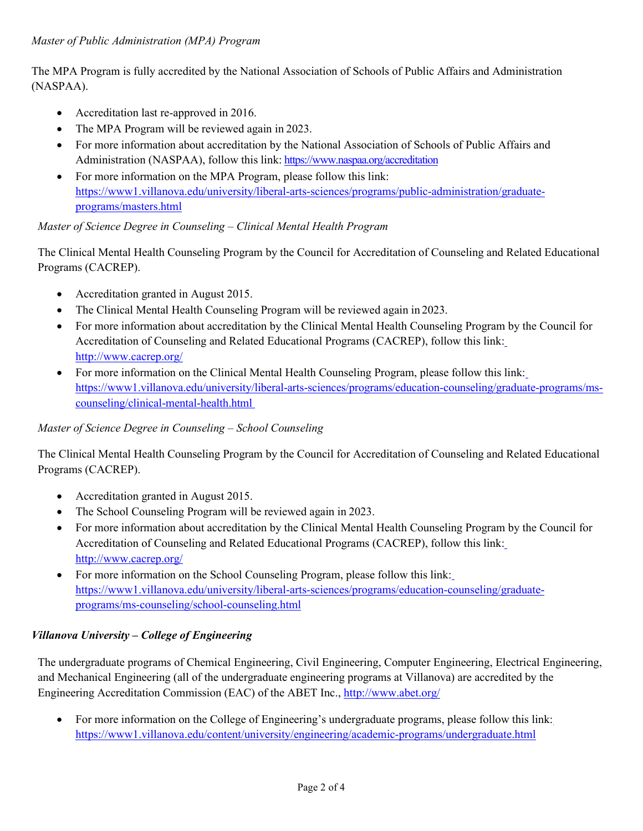The MPA Program is fully accredited by the National Association of Schools of Public Affairs and Administration (NASPAA).

- Accreditation last re-approved in 2016.
- The MPA Program will be reviewed again in 2023.
- For more information about accreditation by the National Association of Schools of Public Affairs and Administration (NASPAA), follow this link: <https://www.naspaa.org/accreditation>
- For more information on the MPA Program, please follow this link: https://www1.villanova.edu/university/liberal-arts-sciences/programs/public-administration/graduateprograms/masters.html

#### *Master of Science Degree in Counseling – Clinical Mental Health Program*

The Clinical Mental Health Counseling Program by the Council for Accreditation of Counseling and Related Educational Programs (CACREP).

- Accreditation granted in August 2015.
- The Clinical Mental Health Counseling Program will be reviewed again in 2023.
- For more information about accreditation by the Clinical Mental Health Counseling Program by the Council for Accreditation of Counseling and Related Educational Programs (CACREP), follow this link[:](http://www.cacrep.org/) <http://www.cacrep.org/>
- For more information on the Clinical Mental Health Counseling Program, please follow this link[:](https://www1.villanova.edu/university/liberal-arts-sciences/programs/education-counseling/graduate-programs/ms-counseling/clinical-mental-health.html) [https://www1.villanova.edu/university/liberal-arts-sciences/programs/education-counseling/graduate-programs/ms](https://www1.villanova.edu/university/liberal-arts-sciences/programs/education-counseling/graduate-programs/ms-counseling/clinical-mental-health.html)[counseling/clinical-mental-health.html](https://www1.villanova.edu/university/liberal-arts-sciences/programs/education-counseling/graduate-programs/ms-counseling/clinical-mental-health.html)

#### *Master of Science Degree in Counseling – School Counseling*

The Clinical Mental Health Counseling Program by the Council for Accreditation of Counseling and Related Educational Programs (CACREP).

- Accreditation granted in August 2015.
- The School Counseling Program will be reviewed again in 2023.
- For more information about accreditation by the Clinical Mental Health Counseling Program by the Council for Accreditation of Counseling and Related Educational Programs (CACREP), follow this link: <http://www.cacrep.org/>
- For more information on the School Counseling Program, please follow this link: [https://www1.villanova.edu/university/liberal-arts-sciences/programs/education-counseling/graduate](https://www1.villanova.edu/university/liberal-arts-sciences/programs/education-counseling/graduate-programs/ms-counseling/school-counseling.html)[programs/ms-counseling/school-counseling.html](https://www1.villanova.edu/university/liberal-arts-sciences/programs/education-counseling/graduate-programs/ms-counseling/school-counseling.html)

#### *Villanova University – College of Engineering*

The undergraduate programs of Chemical Engineering, Civil Engineering, Computer Engineering, Electrical Engineering, and Mechanical Engineering (all of the undergraduate engineering programs at Villanova) are accredited by the Engineering Accreditation Commission (EAC) of the ABET Inc.,<http://www.abet.org/>

• For more information on the College of Engineering's undergraduate programs, please follow this link: <https://www1.villanova.edu/content/university/engineering/academic-programs/undergraduate.html>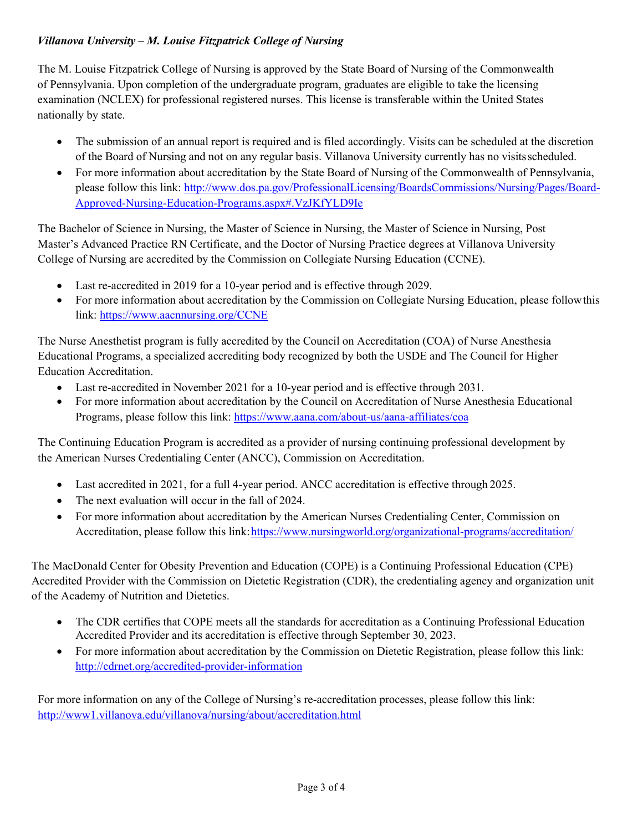# *Villanova University – M. Louise Fitzpatrick College of Nursing*

The M. Louise Fitzpatrick College of Nursing is approved by the State Board of Nursing of the Commonwealth of Pennsylvania. Upon completion of the undergraduate program, graduates are eligible to take the licensing examination (NCLEX) for professional registered nurses. This license is transferable within the United States nationally by state.

- The submission of an annual report is required and is filed accordingly. Visits can be scheduled at the discretion of the Board of Nursing and not on any regular basis. Villanova University currently has no visitsscheduled.
- For more information about accreditation by the State Board of Nursing of the Commonwealth of Pennsylvania, please follow this link: [http://www.dos.pa.gov/ProfessionalLicensing/BoardsCommissions/Nursing/Pages/Board-](http://www.dos.pa.gov/ProfessionalLicensing/BoardsCommissions/Nursing/Pages/Board-Approved-Nursing-Education-Programs.aspx#.VzJKfYLD9Ie)[Approved-Nursing-Education-Programs.aspx#.VzJKfYLD9Ie](http://www.dos.pa.gov/ProfessionalLicensing/BoardsCommissions/Nursing/Pages/Board-Approved-Nursing-Education-Programs.aspx#.VzJKfYLD9Ie)

The Bachelor of Science in Nursing, the Master of Science in Nursing, the Master of Science in Nursing, Post Master's Advanced Practice RN Certificate, and the Doctor of Nursing Practice degrees at Villanova University College of Nursing are accredited by the Commission on Collegiate Nursing Education (CCNE).

- Last re-accredited in 2019 for a 10-year period and is effective through 2029.
- For more information about accreditation by the Commission on Collegiate Nursing Education, please followthis link: <https://www.aacnnursing.org/CCNE>

The Nurse Anesthetist program is fully accredited by the Council on Accreditation (COA) of Nurse Anesthesia Educational Programs, a specialized accrediting body recognized by both the USDE and The Council for Higher Education Accreditation.

- Last re-accredited in November 2021 for a 10-year period and is effective through 2031.
- For more information about accreditation by the Council on Accreditation of Nurse Anesthesia Educational Programs, please follow this link: <https://www.aana.com/about-us/aana-affiliates/coa>

The Continuing Education Program is accredited as a provider of nursing continuing professional development by the American Nurses Credentialing Center (ANCC), Commission on Accreditation.

- Last accredited in 2021, for a full 4-year period. ANCC accreditation is effective through 2025.
- The next evaluation will occur in the fall of 2024.
- For more information about accreditation by the American Nurses Credentialing Center, Commission on Accreditation, please follow this link: https://www.nursingworld.org/organizational-programs/accreditation/

The MacDonald Center for Obesity Prevention and Education (COPE) is a Continuing Professional Education (CPE) Accredited Provider with the Commission on Dietetic Registration (CDR), the credentialing agency and organization unit of the Academy of Nutrition and Dietetics.

- The CDR certifies that COPE meets all the standards for accreditation as a Continuing Professional Education Accredited Provider and its accreditation is effective through September 30, 2023.
- For more information about accreditation by the Commission on Dietetic Registration, please follow this link[:](http://cdrnet.org/accredited-provider-information) <http://cdrnet.org/accredited-provider-information>

For more information on any of the College of Nursing's re-accreditation processes, please follow this link: <http://www1.villanova.edu/villanova/nursing/about/accreditation.html>